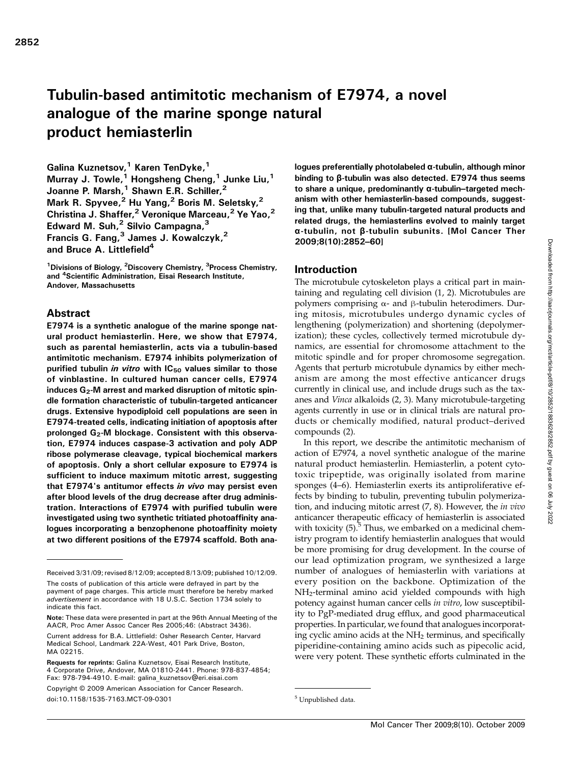# Tubulin-based antimitotic mechanism of E7974, a novel analogue of the marine sponge natural product hemiasterlin

Galina Kuznetsov,<sup>1</sup> Karen TenDyke,<sup>1</sup> Murray J. Towle,<sup>1</sup> Hongsheng Cheng,<sup>1</sup> Junke Liu,<sup>1</sup> Joanne P. Marsh,<sup>1</sup> Shawn E.R. Schiller,<sup>2</sup> Mark R. Spyvee,<sup>2</sup> Hu Yang,<sup>2</sup> Boris M. Seletsky,<sup>2</sup> Christina J. Shaffer,<sup>2</sup> Veronique Marceau,<sup>2</sup> Ye Yao,<sup>2</sup> Edward M. Suh, $<sup>2</sup>$  Silvio Campagna, $<sup>3</sup>$ </sup></sup> Francis G. Fang, $3$  James J. Kowalczyk, $^2$ and Bruce A. Littlefield<sup>4</sup>

<sup>1</sup>Divisions of Biology, <sup>2</sup>Discovery Chemistry, <sup>3</sup>Process Chemistry, and <sup>4</sup> Scientific Administration, Eisai Research Institute, Andover, Massachusetts

## Abstract

E7974 is a synthetic analogue of the marine sponge natural product hemiasterlin. Here, we show that E7974, such as parental hemiasterlin, acts via a tubulin-based antimitotic mechanism. E7974 inhibits polymerization of purified tubulin in vitro with  $IC_{50}$  values similar to those of vinblastine. In cultured human cancer cells, E7974 induces  $G_2$ -M arrest and marked disruption of mitotic spindle formation characteristic of tubulin-targeted anticancer drugs. Extensive hypodiploid cell populations are seen in E7974-treated cells, indicating initiation of apoptosis after prolonged  $G_2$ -M blockage. Consistent with this observation, E7974 induces caspase-3 activation and poly ADP ribose polymerase cleavage, typical biochemical markers of apoptosis. Only a short cellular exposure to E7974 is sufficient to induce maximum mitotic arrest, suggesting that E7974's antitumor effects in vivo may persist even after blood levels of the drug decrease after drug administration. Interactions of E7974 with purified tubulin were investigated using two synthetic tritiated photoaffinity analogues incorporating a benzophenone photoaffinity moiety at two different positions of the E7974 scaffold. Both analogues preferentially photolabeled α-tubulin, although minor binding to β-tubulin was also detected. E7974 thus seems to share a unique, predominantly α-tubulin–targeted mechanism with other hemiasterlin-based compounds, suggesting that, unlike many tubulin-targeted natural products and related drugs, the hemiasterlins evolved to mainly target α-tubulin, not β-tubulin subunits. [Mol Cancer Ther 2009;8(10):2852–60]

#### Introduction

The microtubule cytoskeleton plays a critical part in maintaining and regulating cell division (1, 2). Microtubules are polymers comprising  $α$ - and β-tubulin heterodimers. During mitosis, microtubules undergo dynamic cycles of lengthening (polymerization) and shortening (depolymerization); these cycles, collectively termed microtubule dynamics, are essential for chromosome attachment to the mitotic spindle and for proper chromosome segregation. Agents that perturb microtubule dynamics by either mechanism are among the most effective anticancer drugs currently in clinical use, and include drugs such as the taxanes and Vinca alkaloids (2, 3). Many microtubule-targeting agents currently in use or in clinical trials are natural products or chemically modified, natural product–derived compounds (2).

In this report, we describe the antimitotic mechanism of action of E7974, a novel synthetic analogue of the marine natural product hemiasterlin. Hemiasterlin, a potent cytotoxic tripeptide, was originally isolated from marine sponges (4–6). Hemiasterlin exerts its antiproliferative effects by binding to tubulin, preventing tubulin polymerization, and inducing mitotic arrest (7, 8). However, the in vivo anticancer therapeutic efficacy of hemiasterlin is associated with toxicity  $(5)$ .<sup>5</sup> Thus, we embarked on a medicinal chemistry program to identify hemiasterlin analogues that would be more promising for drug development. In the course of our lead optimization program, we synthesized a large number of analogues of hemiasterlin with variations at every position on the backbone. Optimization of the NH2-terminal amino acid yielded compounds with high potency against human cancer cells in vitro, low susceptibility to PgP-mediated drug efflux, and good pharmaceutical properties. In particular, we found that analogues incorporating cyclic amino acids at the NH<sub>2</sub> terminus, and specifically piperidine-containing amino acids such as pipecolic acid, were very potent. These synthetic efforts culminated in the

Received 3/31/09; revised 8/12/09; accepted 8/13/09; published 10/12/09.

The costs of publication of this article were defrayed in part by the payment of page charges. This article must therefore be hereby marked advertisement in accordance with 18 U.S.C. Section 1734 solely to indicate this fact.

Note: These data were presented in part at the 96th Annual Meeting of the AACR, Proc Amer Assoc Cancer Res 2005;46: (Abstract 3436).

Current address for B.A. Littlefield: Osher Research Center, Harvard Medical School, Landmark 22A-West, 401 Park Drive, Boston, MA 02215.

Requests for reprints: Galina Kuznetsov, Eisai Research Institute, 4 Corporate Drive, Andover, MA 01810-2441. Phone: 978-837-4854; Fax: 978-794-4910. E-mail: galina\_kuznetsov@eri.eisai.com

Copyright © 2009 American Association for Cancer Research. doi:10.1158/1535-7163.MCT-09-0301 5 Unpublished data.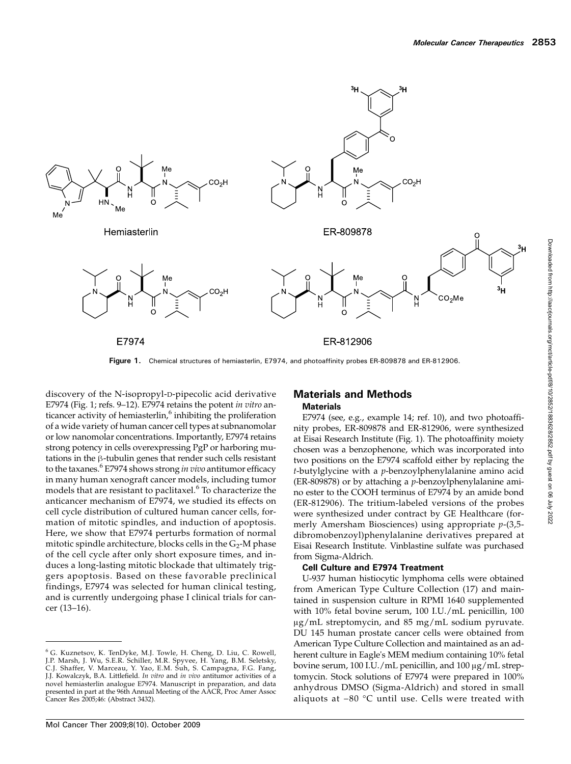

Figure 1. Chemical structures of hemiasterlin, E7974, and photoaffinity probes ER-809878 and ER-812906

discovery of the N-isopropyl-D-pipecolic acid derivative E7974 (Fig. 1; refs. 9–12). E7974 retains the potent in vitro anticancer activity of hemiasterlin, $6$  inhibiting the proliferation of a wide variety of human cancer cell types at subnanomolar or low nanomolar concentrations. Importantly, E7974 retains strong potency in cells overexpressing PgP or harboring mutations in the β-tubulin genes that render such cells resistant to the taxanes.<sup>6</sup> E7974 shows strong *in vivo* antitumor efficacy in many human xenograft cancer models, including tumor models that are resistant to paclitaxel. $6$  To characterize the anticancer mechanism of E7974, we studied its effects on cell cycle distribution of cultured human cancer cells, formation of mitotic spindles, and induction of apoptosis. Here, we show that E7974 perturbs formation of normal mitotic spindle architecture, blocks cells in the  $G_2$ -M phase of the cell cycle after only short exposure times, and induces a long-lasting mitotic blockade that ultimately triggers apoptosis. Based on these favorable preclinical findings, E7974 was selected for human clinical testing, and is currently undergoing phase I clinical trials for cancer (13–16).

#### Materials and Methods **Materials**

E7974 (see, e.g., example 14; ref. 10), and two photoaffinity probes, ER-809878 and ER-812906, were synthesized at Eisai Research Institute (Fig. 1). The photoaffinity moiety chosen was a benzophenone, which was incorporated into two positions on the E7974 scaffold either by replacing the  $t$ -butylglycine with a  $p$ -benzoylphenylalanine amino acid (ER-809878) or by attaching a p-benzoylphenylalanine amino ester to the COOH terminus of E7974 by an amide bond (ER-812906). The tritium-labeled versions of the probes were synthesized under contract by GE Healthcare (formerly Amersham Biosciences) using appropriate  $p-(3,5$ dibromobenzoyl)phenylalanine derivatives prepared at Eisai Research Institute. Vinblastine sulfate was purchased from Sigma-Aldrich.

#### Cell Culture and E7974 Treatment

U-937 human histiocytic lymphoma cells were obtained from American Type Culture Collection (17) and maintained in suspension culture in RPMI 1640 supplemented with 10% fetal bovine serum, 100 I.U./mL penicillin, 100 μg/mL streptomycin, and 85 mg/mL sodium pyruvate. DU 145 human prostate cancer cells were obtained from American Type Culture Collection and maintained as an adherent culture in Eagle's MEM medium containing 10% fetal bovine serum, 100 I.U./mL penicillin, and 100 μg/mL streptomycin. Stock solutions of E7974 were prepared in 100% anhydrous DMSO (Sigma-Aldrich) and stored in small aliquots at −80 °C until use. Cells were treated with

<sup>&</sup>lt;sup>6</sup> G. Kuznetsov, K. TenDyke, M.J. Towle, H. Cheng, D. Liu, C. Rowell,<br>J.P. Marsh, J. Wu, S.E.R. Schiller, M.R. Spyvee, H. Yang, B.M. Seletsky,<br>C.J. Shaffer, V. Marceau, Y. Yao, E.M. Suh, S. Campagna, F.G. Fang, J.J. Kowalczyk, B.A. Littlefield. In vitro and in vivo antitumor activities of a novel hemiasterlin analogue E7974. Manuscript in preparation, and data presented in part at the 96th Annual Meeting of the AACR, Proc Amer Assoc Cancer Res 2005;46: (Abstract 3432).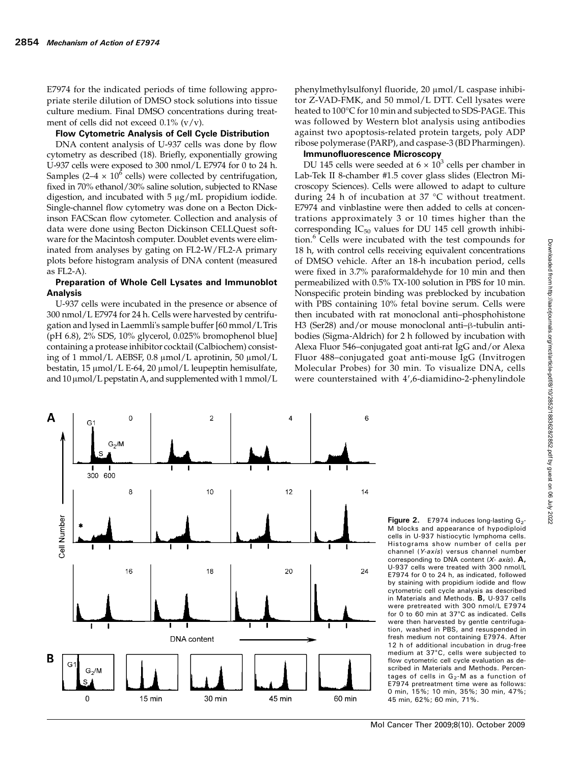E7974 for the indicated periods of time following appropriate sterile dilution of DMSO stock solutions into tissue culture medium. Final DMSO concentrations during treatment of cells did not exceed  $0.1\%$  (v/v).

#### Flow Cytometric Analysis of Cell Cycle Distribution

DNA content analysis of U-937 cells was done by flow cytometry as described (18). Briefly, exponentially growing U-937 cells were exposed to 300 nmol/L E7974 for 0 to 24 h. Samples (2–4  $\times$  10<sup>6</sup> cells) were collected by centrifugation, fixed in 70% ethanol/30% saline solution, subjected to RNase digestion, and incubated with 5 μg/mL propidium iodide. Single-channel flow cytometry was done on a Becton Dickinson FACScan flow cytometer. Collection and analysis of data were done using Becton Dickinson CELLQuest software for the Macintosh computer. Doublet events were eliminated from analyses by gating on FL2-W/FL2-A primary plots before histogram analysis of DNA content (measured as FL2-A).

#### Preparation of Whole Cell Lysates and Immunoblot Analysis

U-937 cells were incubated in the presence or absence of 300 nmol/L E7974 for 24 h. Cells were harvested by centrifugation and lysed in Laemmli's sample buffer [60 mmol/LTris (pH 6.8), 2% SDS, 10% glycerol, 0.025% bromophenol blue] containing a protease inhibitor cocktail (Calbiochem) consisting of 1 mmol/L AEBSF, 0.8 μmol/L aprotinin, 50 μmol/L bestatin, 15 μmol/L E-64, 20 μmol/L leupeptin hemisulfate, and  $10 \mu$ mol/L pepstatin A, and supplemented with 1 mmol/L

phenylmethylsulfonyl fluoride, 20 μmol/L caspase inhibitor Z-VAD-FMK, and 50 mmol/L DTT. Cell lysates were heated to 100°C for 10 min and subjected to SDS-PAGE. This was followed by Western blot analysis using antibodies against two apoptosis-related protein targets, poly ADP ribose polymerase (PARP), and caspase-3 (BD Pharmingen).

#### Immunofluorescence Microscopy

DU 145 cells were seeded at  $6 \times 10^3$  cells per chamber in Lab-Tek II 8-chamber #1.5 cover glass slides (Electron Microscopy Sciences). Cells were allowed to adapt to culture during 24 h of incubation at 37 °C without treatment. E7974 and vinblastine were then added to cells at concentrations approximately 3 or 10 times higher than the corresponding  $IC_{50}$  values for DU 145 cell growth inhibition.<sup>6</sup> Cells were incubated with the test compounds for 18 h, with control cells receiving equivalent concentrations of DMSO vehicle. After an 18-h incubation period, cells were fixed in 3.7% paraformaldehyde for 10 min and then permeabilized with 0.5% TX-100 solution in PBS for 10 min. Nonspecific protein binding was preblocked by incubation with PBS containing 10% fetal bovine serum. Cells were then incubated with rat monoclonal anti–phosphohistone H3 (Ser28) and/or mouse monoclonal anti–β-tubulin antibodies (Sigma-Aldrich) for 2 h followed by incubation with Alexa Fluor 546–conjugated goat anti-rat IgG and/or Alexa Fluor 488–conjugated goat anti-mouse IgG (Invitrogen Molecular Probes) for 30 min. To visualize DNA, cells were counterstained with 4′,6-diamidino-2-phenylindole



Figure 2.  $E$ 7974 induces long-lasting  $G_2$ M blocks and appearance of hypodiploid cells in U-937 histiocytic lymphoma cells. Histograms show number of cells per channel (Y-axis) versus channel number corresponding to DNA content  $(X - axis)$ . A, U-937 cells were treated with 300 nmol/L E7974 for 0 to 24 h, as indicated, followed by staining with propidium iodide and flow cytometric cell cycle analysis as described in Materials and Methods. B, U-937 cells were pretreated with 300 nmol/L E7974 for 0 to 60 min at 37°C as indicated. Cells were then harvested by gentle centrifugation, washed in PBS, and resuspended in fresh medium not containing E7974. After 12 h of additional incubation in drug-free medium at 37°C, cells were subjected to flow cytometric cell cycle evaluation as described in Materials and Methods. Percentages of cells in  $G_2$ -M as a function of E7974 pretreatment time were as follows: 0 min, 15%; 10 min, 35%; 30 min, 47%; 45 min, 62%; 60 min, 71%.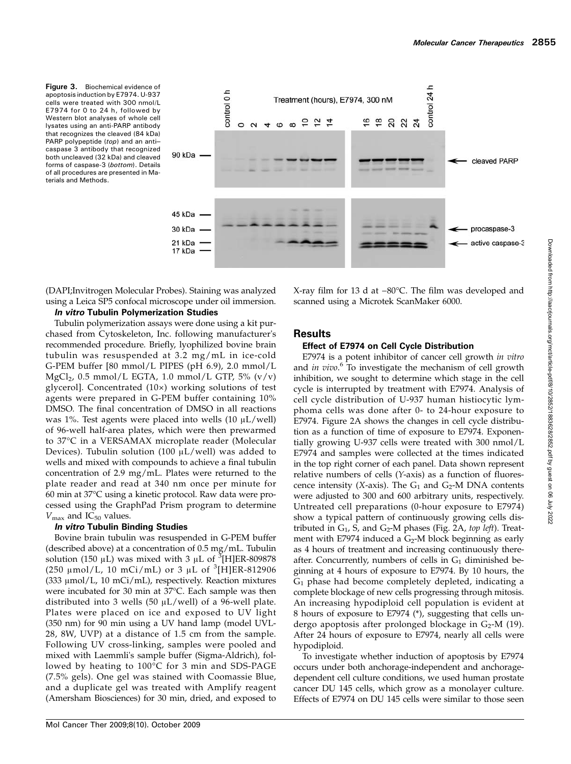Figure 3. Biochemical evidence of apoptosis induction by E7974. U-937 cells were treated with 300 nmol/L E7974 for 0 to 24 h, followed by Western blot analyses of whole cell lysates using an anti-PARP antibody that recognizes the cleaved (84 kDa) PARP polypeptide (top) and an anticaspase 3 antibody that recognized both uncleaved (32 kDa) and cleaved forms of caspase-3 (bottom). Details of all procedures are presented in Materials and Methods.



(DAPI;Invitrogen Molecular Probes). Staining was analyzed using a Leica SP5 confocal microscope under oil immersion.

#### In vitro Tubulin Polymerization Studies

Tubulin polymerization assays were done using a kit purchased from Cytoskeleton, Inc. following manufacturer's recommended procedure. Briefly, lyophilized bovine brain tubulin was resuspended at 3.2 mg/mL in ice-cold G-PEM buffer [80 mmol/L PIPES (pH 6.9), 2.0 mmol/L  $MgCl<sub>2</sub>$ , 0.5 mmol/L EGTA, 1.0 mmol/L GTP, 5% (v/v) glycerol]. Concentrated (10×) working solutions of test agents were prepared in G-PEM buffer containing 10% DMSO. The final concentration of DMSO in all reactions was 1%. Test agents were placed into wells  $(10 \mu L/well)$ of 96-well half-area plates, which were then prewarmed to 37°C in a VERSAMAX microplate reader (Molecular Devices). Tubulin solution (100  $\mu$ L/well) was added to wells and mixed with compounds to achieve a final tubulin concentration of 2.9 mg/mL. Plates were returned to the plate reader and read at 340 nm once per minute for 60 min at 37°C using a kinetic protocol. Raw data were processed using the GraphPad Prism program to determine  $V_{\text{max}}$  and IC<sub>50</sub> values.

#### In vitro Tubulin Binding Studies

Bovine brain tubulin was resuspended in G-PEM buffer (described above) at a concentration of 0.5 mg/mL. Tubulin solution (150  $\mu$ L) was mixed with 3  $\mu$ L of <sup>3</sup>[H]ER-809878 (250  $\mu$ mol/L, 10 mCi/mL) or 3  $\mu$ L of <sup>3</sup>[H]ER-812906 (333 μmol/L, 10 mCi/mL), respectively. Reaction mixtures were incubated for 30 min at 37°C. Each sample was then distributed into 3 wells (50 μL/well) of a 96-well plate. Plates were placed on ice and exposed to UV light (350 nm) for 90 min using a UV hand lamp (model UVL-28, 8W, UVP) at a distance of 1.5 cm from the sample. Following UV cross-linking, samples were pooled and mixed with Laemmli's sample buffer (Sigma-Aldrich), followed by heating to 100°C for 3 min and SDS-PAGE (7.5% gels). One gel was stained with Coomassie Blue, and a duplicate gel was treated with Amplify reagent (Amersham Biosciences) for 30 min, dried, and exposed to

X-ray film for 13 d at −80°C. The film was developed and scanned using a Microtek ScanMaker 6000.

### **Results**

#### Effect of E7974 on Cell Cycle Distribution

E7974 is a potent inhibitor of cancer cell growth in vitro and in vivo.<sup>6</sup> To investigate the mechanism of cell growth inhibition, we sought to determine which stage in the cell cycle is interrupted by treatment with E7974. Analysis of cell cycle distribution of U-937 human histiocytic lymphoma cells was done after 0- to 24-hour exposure to E7974. Figure 2A shows the changes in cell cycle distribution as a function of time of exposure to E7974. Exponentially growing U-937 cells were treated with 300 nmol/L E7974 and samples were collected at the times indicated in the top right corner of each panel. Data shown represent relative numbers of cells (Y-axis) as a function of fluorescence intensity (X-axis). The  $G_1$  and  $G_2$ -M DNA contents were adjusted to 300 and 600 arbitrary units, respectively. Untreated cell preparations (0-hour exposure to E7974) show a typical pattern of continuously growing cells distributed in  $G_1$ , S, and  $G_2$ -M phases (Fig. 2A, top left). Treatment with E7974 induced a  $G_2$ -M block beginning as early as 4 hours of treatment and increasing continuously thereafter. Concurrently, numbers of cells in  $G_1$  diminished beginning at 4 hours of exposure to E7974. By 10 hours, the  $G_1$  phase had become completely depleted, indicating a complete blockage of new cells progressing through mitosis. An increasing hypodiploid cell population is evident at 8 hours of exposure to E7974 (\*), suggesting that cells undergo apoptosis after prolonged blockage in  $G_2$ -M (19). After 24 hours of exposure to E7974, nearly all cells were hypodiploid.

To investigate whether induction of apoptosis by E7974 occurs under both anchorage-independent and anchoragedependent cell culture conditions, we used human prostate cancer DU 145 cells, which grow as a monolayer culture. Effects of E7974 on DU 145 cells were similar to those seen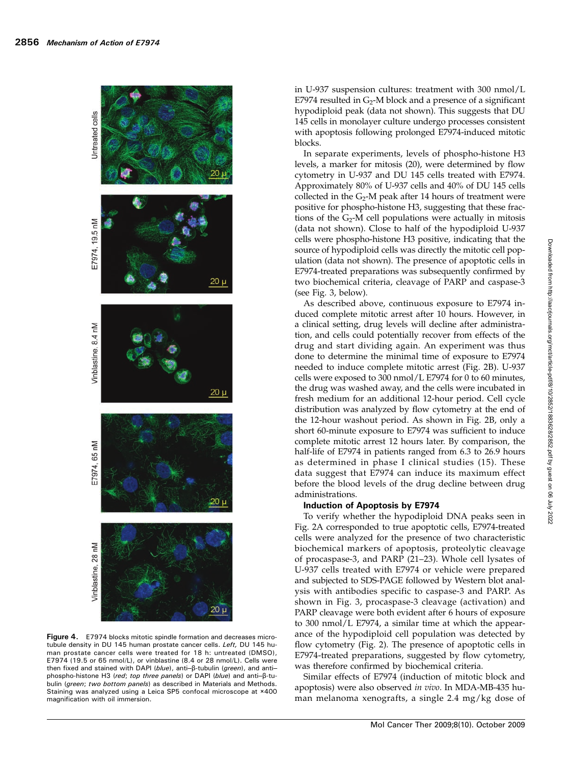

Figure 4. E7974 blocks mitotic spindle formation and decreases microtubule density in DU 145 human prostate cancer cells. Left, DU 145 human prostate cancer cells were treated for 18 h: untreated (DMSO), E7974 (19.5 or 65 nmol/L), or vinblastine (8.4 or 28 nmol/L). Cells were then fixed and stained with DAPI (blue), anti–β-tubulin (*green*), and anti– phospho-histone H3 (red; top three panels) or DAPI (blue) and anti–β-tubulin (green; two bottom panels) as described in Materials and Methods. Staining was analyzed using a Leica SP5 confocal microscope at ×400 magnification with oil immersion.

in U-937 suspension cultures: treatment with 300 nmol/L E7974 resulted in  $G_2$ -M block and a presence of a significant hypodiploid peak (data not shown). This suggests that DU 145 cells in monolayer culture undergo processes consistent with apoptosis following prolonged E7974-induced mitotic blocks.

In separate experiments, levels of phospho-histone H3 levels, a marker for mitosis (20), were determined by flow cytometry in U-937 and DU 145 cells treated with E7974. Approximately 80% of U-937 cells and 40% of DU 145 cells collected in the  $G_2$ -M peak after 14 hours of treatment were positive for phospho-histone H3, suggesting that these fractions of the  $G_2$ -M cell populations were actually in mitosis (data not shown). Close to half of the hypodiploid U-937 cells were phospho-histone H3 positive, indicating that the source of hypodiploid cells was directly the mitotic cell population (data not shown). The presence of apoptotic cells in E7974-treated preparations was subsequently confirmed by two biochemical criteria, cleavage of PARP and caspase-3 (see Fig. 3, below).

As described above, continuous exposure to E7974 induced complete mitotic arrest after 10 hours. However, in a clinical setting, drug levels will decline after administration, and cells could potentially recover from effects of the drug and start dividing again. An experiment was thus done to determine the minimal time of exposure to E7974 needed to induce complete mitotic arrest (Fig. 2B). U-937 cells were exposed to 300 nmol/L E7974 for 0 to 60 minutes, the drug was washed away, and the cells were incubated in fresh medium for an additional 12-hour period. Cell cycle distribution was analyzed by flow cytometry at the end of the 12-hour washout period. As shown in Fig. 2B, only a short 60-minute exposure to E7974 was sufficient to induce complete mitotic arrest 12 hours later. By comparison, the half-life of E7974 in patients ranged from 6.3 to 26.9 hours as determined in phase I clinical studies (15). These data suggest that E7974 can induce its maximum effect before the blood levels of the drug decline between drug administrations.

# Induction of Apoptosis by E7974

To verify whether the hypodiploid DNA peaks seen in Fig. 2A corresponded to true apoptotic cells, E7974-treated cells were analyzed for the presence of two characteristic biochemical markers of apoptosis, proteolytic cleavage of procaspase-3, and PARP (21–23). Whole cell lysates of U-937 cells treated with E7974 or vehicle were prepared and subjected to SDS-PAGE followed by Western blot analysis with antibodies specific to caspase-3 and PARP. As shown in Fig. 3, procaspase-3 cleavage (activation) and PARP cleavage were both evident after 6 hours of exposure to 300 nmol/L E7974, a similar time at which the appearance of the hypodiploid cell population was detected by flow cytometry (Fig. 2). The presence of apoptotic cells in E7974-treated preparations, suggested by flow cytometry, was therefore confirmed by biochemical criteria.

Similar effects of E7974 (induction of mitotic block and apoptosis) were also observed in vivo. In MDA-MB-435 human melanoma xenografts, a single 2.4 mg/kg dose of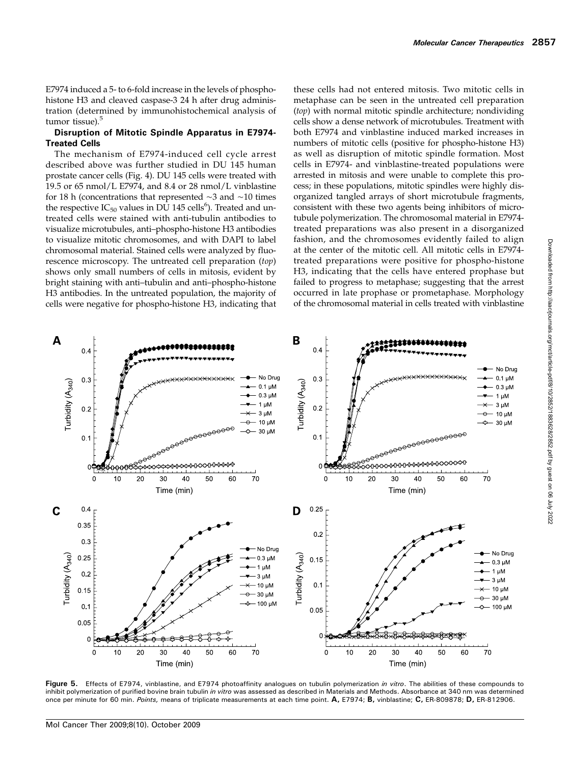E7974 induced a 5- to 6-fold increase in the levels of phosphohistone H3 and cleaved caspase-3 24 h after drug administration (determined by immunohistochemical analysis of tumor tissue).<sup>5</sup>

#### Disruption of Mitotic Spindle Apparatus in E7974- Treated Cells

The mechanism of E7974-induced cell cycle arrest described above was further studied in DU 145 human prostate cancer cells (Fig. 4). DU 145 cells were treated with 19.5 or 65 nmol/L E7974, and 8.4 or 28 nmol/L vinblastine for 18 h (concentrations that represented ∼3 and ∼10 times the respective  $IC_{50}$  values in  $D\tilde{U}$  145 cells<sup>6</sup>). Treated and untreated cells were stained with anti-tubulin antibodies to visualize microtubules, anti–phospho-histone H3 antibodies to visualize mitotic chromosomes, and with DAPI to label chromosomal material. Stained cells were analyzed by fluorescence microscopy. The untreated cell preparation (top) shows only small numbers of cells in mitosis, evident by bright staining with anti–tubulin and anti–phospho-histone H3 antibodies. In the untreated population, the majority of cells were negative for phospho-histone H3, indicating that

these cells had not entered mitosis. Two mitotic cells in metaphase can be seen in the untreated cell preparation (top) with normal mitotic spindle architecture; nondividing cells show a dense network of microtubules. Treatment with both E7974 and vinblastine induced marked increases in numbers of mitotic cells (positive for phospho-histone H3) as well as disruption of mitotic spindle formation. Most cells in E7974- and vinblastine-treated populations were arrested in mitosis and were unable to complete this process; in these populations, mitotic spindles were highly disorganized tangled arrays of short microtubule fragments, consistent with these two agents being inhibitors of microtubule polymerization. The chromosomal material in E7974 treated preparations was also present in a disorganized fashion, and the chromosomes evidently failed to align at the center of the mitotic cell. All mitotic cells in E7974 treated preparations were positive for phospho-histone H3, indicating that the cells have entered prophase but failed to progress to metaphase; suggesting that the arrest occurred in late prophase or prometaphase. Morphology of the chromosomal material in cells treated with vinblastine



Figure 5. Effects of E7974, vinblastine, and E7974 photoaffinity analogues on tubulin polymerization in vitro. The abilities of these compounds to inhibit polymerization of purified bovine brain tubulin in vitro was assessed as described in Materials and Methods. Absorbance at 340 nm was determined once per minute for 60 min. Points, means of triplicate measurements at each time point. A, E7974; B, vinblastine; C, ER-809878; D, ER-812906.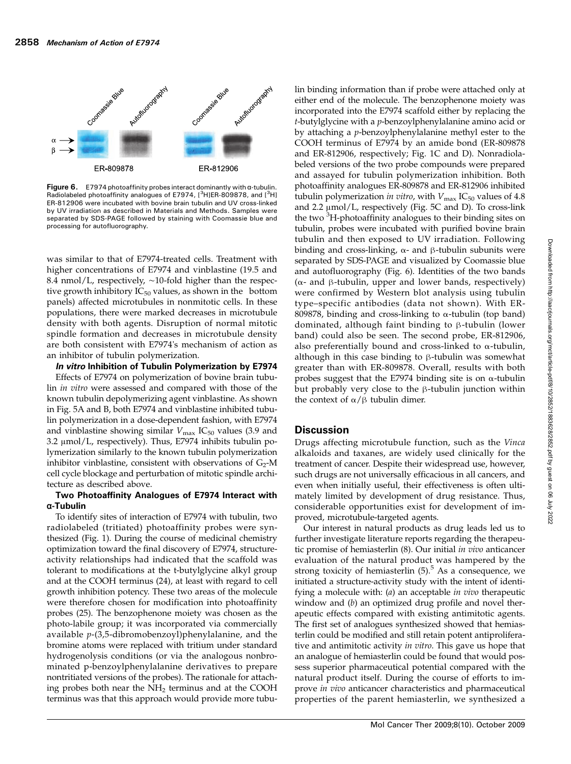

Figure 6.  $E$ 7974 photoaffinity probes interact dominantly with  $\alpha$ -tubulin. Radiolabeled photoaffinity analogues of E7974, [<sup>3</sup>H]ER-809878, and [<sup>3</sup>H] ER-812906 were incubated with bovine brain tubulin and UV cross-linked by UV irradiation as described in Materials and Methods. Samples were separated by SDS-PAGE followed by staining with Coomassie blue and processing for autofluorography.

was similar to that of E7974-treated cells. Treatment with higher concentrations of E7974 and vinblastine (19.5 and 8.4 nmol/L, respectively, ∼10-fold higher than the respective growth inhibitory  $IC_{50}$  values, as shown in the bottom panels) affected microtubules in nonmitotic cells. In these populations, there were marked decreases in microtubule density with both agents. Disruption of normal mitotic spindle formation and decreases in microtubule density are both consistent with E7974's mechanism of action as an inhibitor of tubulin polymerization.

In vitro Inhibition of Tubulin Polymerization by E7974

Effects of E7974 on polymerization of bovine brain tubulin in vitro were assessed and compared with those of the known tubulin depolymerizing agent vinblastine. As shown in Fig. 5A and B, both E7974 and vinblastine inhibited tubulin polymerization in a dose-dependent fashion, with E7974 and vinblastine showing similar  $V_{\text{max}}$  IC<sub>50</sub> values (3.9 and 3.2 μmol/L, respectively). Thus, E7974 inhibits tubulin polymerization similarly to the known tubulin polymerization inhibitor vinblastine, consistent with observations of  $G_2$ -M cell cycle blockage and perturbation of mitotic spindle architecture as described above.

#### Two Photoaffinity Analogues of E7974 Interact with α-Tubulin

To identify sites of interaction of E7974 with tubulin, two radiolabeled (tritiated) photoaffinity probes were synthesized (Fig. 1). During the course of medicinal chemistry optimization toward the final discovery of E7974, structureactivity relationships had indicated that the scaffold was tolerant to modifications at the t-butylglycine alkyl group and at the COOH terminus (24), at least with regard to cell growth inhibition potency. These two areas of the molecule were therefore chosen for modification into photoaffinity probes (25). The benzophenone moiety was chosen as the photo-labile group; it was incorporated via commercially available  $p$ -(3,5-dibromobenzoyl)phenylalanine, and the bromine atoms were replaced with tritium under standard hydrogenolysis conditions (or via the analogous nonbrominated p-benzoylphenylalanine derivatives to prepare nontritiated versions of the probes). The rationale for attaching probes both near the NH<sub>2</sub> terminus and at the COOH terminus was that this approach would provide more tubu-

lin binding information than if probe were attached only at either end of the molecule. The benzophenone moiety was incorporated into the E7974 scaffold either by replacing the  $t$ -butylglycine with a  $p$ -benzoylphenylalanine amino acid or by attaching a *p*-benzoylphenylalanine methyl ester to the COOH terminus of E7974 by an amide bond (ER-809878 and ER-812906, respectively; Fig. 1C and D). Nonradiolabeled versions of the two probe compounds were prepared and assayed for tubulin polymerization inhibition. Both photoaffinity analogues ER-809878 and ER-812906 inhibited tubulin polymerization in vitro, with  $V_{\text{max}}$  IC<sub>50</sub> values of 4.8 and 2.2 μmol/L, respectively (Fig. 5C and D). To cross-link the two <sup>3</sup>H-photoaffinity analogues to their binding sites on tubulin, probes were incubated with purified bovine brain tubulin and then exposed to UV irradiation. Following binding and cross-linking, α- and β-tubulin subunits were separated by SDS-PAGE and visualized by Coomassie blue and autofluorography (Fig. 6). Identities of the two bands ( $\alpha$ - and β-tubulin, upper and lower bands, respectively) were confirmed by Western blot analysis using tubulin type–specific antibodies (data not shown). With ER-809878, binding and cross-linking to α-tubulin (top band) dominated, although faint binding to β-tubulin (lower band) could also be seen. The second probe, ER-812906, also preferentially bound and cross-linked to  $\alpha$ -tubulin, although in this case binding to β-tubulin was somewhat greater than with ER-809878. Overall, results with both probes suggest that the E7974 binding site is on α-tubulin but probably very close to the β-tubulin junction within the context of  $\alpha/\beta$  tubulin dimer.

## **Discussion**

Drugs affecting microtubule function, such as the Vinca alkaloids and taxanes, are widely used clinically for the treatment of cancer. Despite their widespread use, however, such drugs are not universally efficacious in all cancers, and even when initially useful, their effectiveness is often ultimately limited by development of drug resistance. Thus, considerable opportunities exist for development of improved, microtubule-targeted agents.

Our interest in natural products as drug leads led us to further investigate literature reports regarding the therapeutic promise of hemiasterlin (8). Our initial in vivo anticancer evaluation of the natural product was hampered by the strong toxicity of hemiasterlin  $(5)$ .<sup>5</sup> As a consequence, we initiated a structure-activity study with the intent of identifying a molecule with: (*a*) an acceptable *in vivo* therapeutic window and (b) an optimized drug profile and novel therapeutic effects compared with existing antimitotic agents. The first set of analogues synthesized showed that hemiasterlin could be modified and still retain potent antiproliferative and antimitotic activity in vitro. This gave us hope that an analogue of hemiasterlin could be found that would possess superior pharmaceutical potential compared with the natural product itself. During the course of efforts to improve in vivo anticancer characteristics and pharmaceutical properties of the parent hemiasterlin, we synthesized a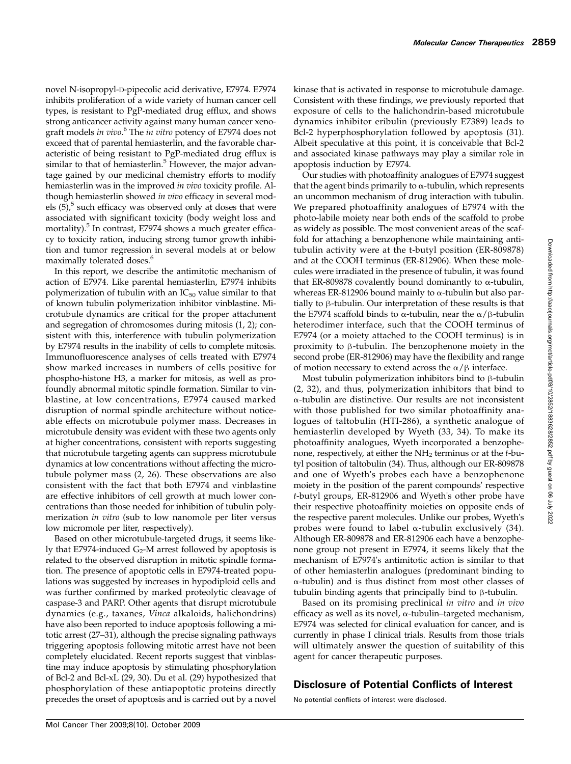novel N-isopropyl-D-pipecolic acid derivative, E7974. E7974 inhibits proliferation of a wide variety of human cancer cell types, is resistant to PgP-mediated drug efflux, and shows strong anticancer activity against many human cancer xenograft models in vivo.<sup>6</sup> The in vitro potency of E7974 does not exceed that of parental hemiasterlin, and the favorable characteristic of being resistant to PgP-mediated drug efflux is similar to that of hemiasterlin. $5$  However, the major advantage gained by our medicinal chemistry efforts to modify hemiasterlin was in the improved in vivo toxicity profile. Although hemiasterlin showed in vivo efficacy in several models  $(5)$ , such efficacy was observed only at doses that were associated with significant toxicity (body weight loss and mortality).<sup>5</sup> In contrast, E7974 shows a much greater efficacy to toxicity ration, inducing strong tumor growth inhibition and tumor regression in several models at or below maximally tolerated doses.<sup>6</sup>

In this report, we describe the antimitotic mechanism of action of E7974. Like parental hemiasterlin, E7974 inhibits polymerization of tubulin with an  $IC_{50}$  value similar to that of known tubulin polymerization inhibitor vinblastine. Microtubule dynamics are critical for the proper attachment and segregation of chromosomes during mitosis (1, 2); consistent with this, interference with tubulin polymerization by E7974 results in the inability of cells to complete mitosis. Immunofluorescence analyses of cells treated with E7974 show marked increases in numbers of cells positive for phospho-histone H3, a marker for mitosis, as well as profoundly abnormal mitotic spindle formation. Similar to vinblastine, at low concentrations, E7974 caused marked disruption of normal spindle architecture without noticeable effects on microtubule polymer mass. Decreases in microtubule density was evident with these two agents only at higher concentrations, consistent with reports suggesting that microtubule targeting agents can suppress microtubule dynamics at low concentrations without affecting the microtubule polymer mass (2, 26). These observations are also consistent with the fact that both E7974 and vinblastine are effective inhibitors of cell growth at much lower concentrations than those needed for inhibition of tubulin polymerization *in vitro* (sub to low nanomole per liter versus low micromole per liter, respectively).

Based on other microtubule-targeted drugs, it seems likely that E7974-induced  $G_2$ -M arrest followed by apoptosis is related to the observed disruption in mitotic spindle formation. The presence of apoptotic cells in E7974-treated populations was suggested by increases in hypodiploid cells and was further confirmed by marked proteolytic cleavage of caspase-3 and PARP. Other agents that disrupt microtubule dynamics (e.g., taxanes, Vinca alkaloids, halichondrins) have also been reported to induce apoptosis following a mitotic arrest (27–31), although the precise signaling pathways triggering apoptosis following mitotic arrest have not been completely elucidated. Recent reports suggest that vinblastine may induce apoptosis by stimulating phosphorylation of Bcl-2 and Bcl-xL (29, 30). Du et al. (29) hypothesized that phosphorylation of these antiapoptotic proteins directly precedes the onset of apoptosis and is carried out by a novel

kinase that is activated in response to microtubule damage. Consistent with these findings, we previously reported that exposure of cells to the halichondrin-based microtubule dynamics inhibitor eribulin (previously E7389) leads to Bcl-2 hyperphosphorylation followed by apoptosis (31). Albeit speculative at this point, it is conceivable that Bcl-2 and associated kinase pathways may play a similar role in apoptosis induction by E7974.

Our studies with photoaffinity analogues of E7974 suggest that the agent binds primarily to  $\alpha$ -tubulin, which represents an uncommon mechanism of drug interaction with tubulin. We prepared photoaffinity analogues of E7974 with the photo-labile moiety near both ends of the scaffold to probe as widely as possible. The most convenient areas of the scaffold for attaching a benzophenone while maintaining antitubulin activity were at the t-butyl position (ER-809878) and at the COOH terminus (ER-812906). When these molecules were irradiated in the presence of tubulin, it was found that ER-809878 covalently bound dominantly to  $α$ -tubulin, whereas ER-812906 bound mainly to  $\alpha$ -tubulin but also partially to β-tubulin. Our interpretation of these results is that the E7974 scaffold binds to α-tubulin, near the  $\alpha/\beta$ -tubulin heterodimer interface, such that the COOH terminus of E7974 (or a moiety attached to the COOH terminus) is in proximity to β-tubulin. The benzophenone moiety in the second probe (ER-812906) may have the flexibility and range of motion necessary to extend across the  $\alpha/\beta$  interface.

Most tubulin polymerization inhibitors bind to β-tubulin (2, 32), and thus, polymerization inhibitors that bind to α-tubulin are distinctive. Our results are not inconsistent with those published for two similar photoaffinity analogues of taltobulin (HTI-286), a synthetic analogue of hemiasterlin developed by Wyeth (33, 34). To make its photoaffinity analogues, Wyeth incorporated a benzophenone, respectively, at either the  $NH<sub>2</sub>$  terminus or at the *t*-butyl position of taltobulin (34). Thus, although our ER-809878 and one of Wyeth's probes each have a benzophenone moiety in the position of the parent compounds' respective t-butyl groups, ER-812906 and Wyeth's other probe have their respective photoaffinity moieties on opposite ends of the respective parent molecules. Unlike our probes, Wyeth's probes were found to label α-tubulin exclusively (34). Although ER-809878 and ER-812906 each have a benzophenone group not present in E7974, it seems likely that the mechanism of E7974's antimitotic action is similar to that of other hemiasterlin analogues (predominant binding to α-tubulin) and is thus distinct from most other classes of tubulin binding agents that principally bind to β-tubulin.

Based on its promising preclinical in vitro and in vivo efficacy as well as its novel, α-tubulin–targeted mechanism, E7974 was selected for clinical evaluation for cancer, and is currently in phase I clinical trials. Results from those trials will ultimately answer the question of suitability of this agent for cancer therapeutic purposes.

# Disclosure of Potential Conflicts of Interest

No potential conflicts of interest were disclosed.